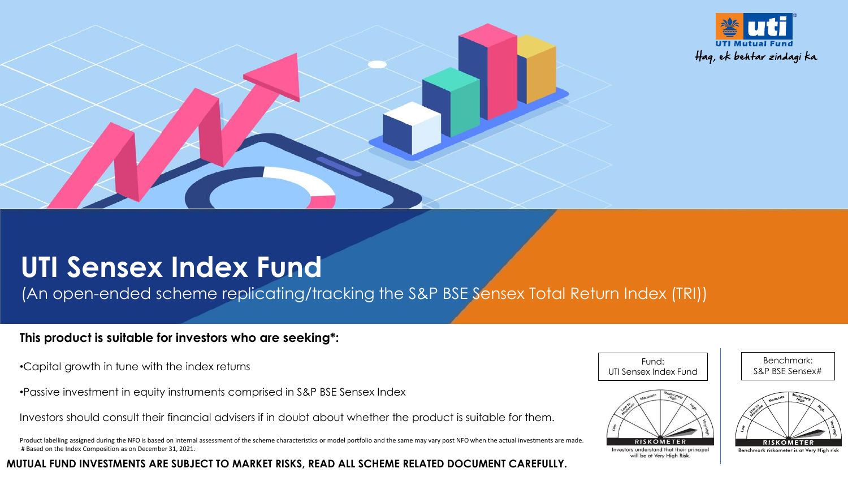



(An open-ended scheme replicating/tracking the S&P BSE Sensex Total Return Index (TRI))

## **This product is suitable for investors who are seeking\*:**

- •Capital growth in tune with the index returns
- •Passive investment in equity instruments comprised in S&P BSE Sensex Index
- Investors should consult their financial advisers if in doubt about whether the product is suitable for them.
- Product labelling assigned during the NFO is based on internal assessment of the scheme characteristics or model portfolio and the same may vary post NFO when the actual investments are made. # Based on the Index Composition as on December 31, 2021.

**MUTUAL FUND INVESTMENTS ARE SUBJECT TO MARKET RISKS, READ ALL SCHEME RELATED DOCUMENT CAREFULLY.**

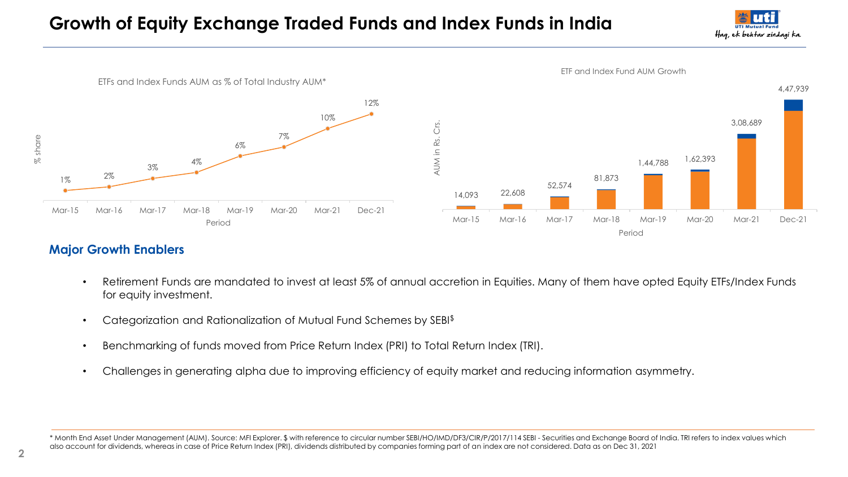# **Growth of Equity Exchange Traded Funds and Index Funds in India**





## **Major Growth Enablers**

- Retirement Funds are mandated to invest at least 5% of annual accretion in Equities. Many of them have opted Equity ETFs/Index Funds for equity investment.
- Categorization and Rationalization of Mutual Fund Schemes by SEBI\$
- Benchmarking of funds moved from Price Return Index (PRI) to Total Return Index (TRI).
- Challenges in generating alpha due to improving efficiency of equity market and reducing information asymmetry.

\* Month End Asset Under Management (AUM). Source: MFI Explorer. \$ with reference to circular number SEBI/HO/IMD/DF3/CIR/P/2017/114 SEBI - Securities and Exchange Board of India. TRI refers to index values which also account for dividends, whereas in case of Price Return Index (PRI), dividends distributed by companies forming part of an index are not considered. Data as on Dec 31, 2021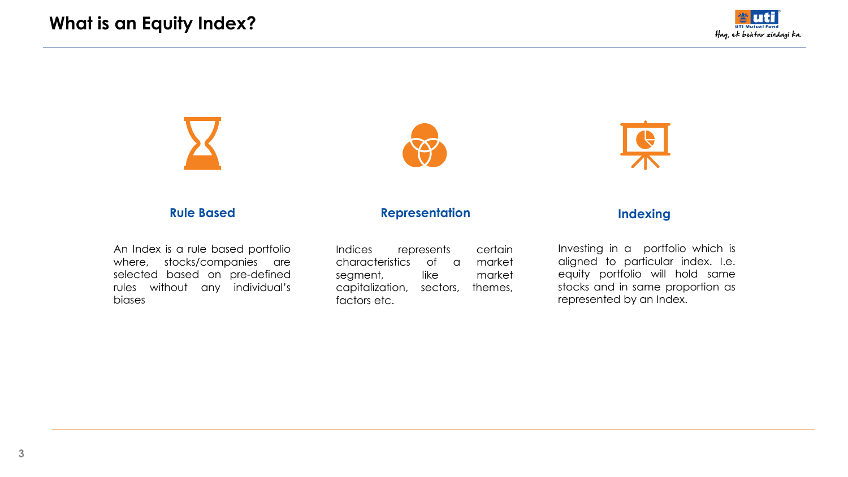



An Index is a rule based portfolio where, stocks/companies are selected based on pre-defined rules without any individual's biases

Indices represents certain characteristics of a market segment, like market capitalization, sectors, themes, factors etc.



Investing in a portfolio which is aligned to particular index. I.e. equity portfolio will hold same stocks and in same proportion as represented by an Index.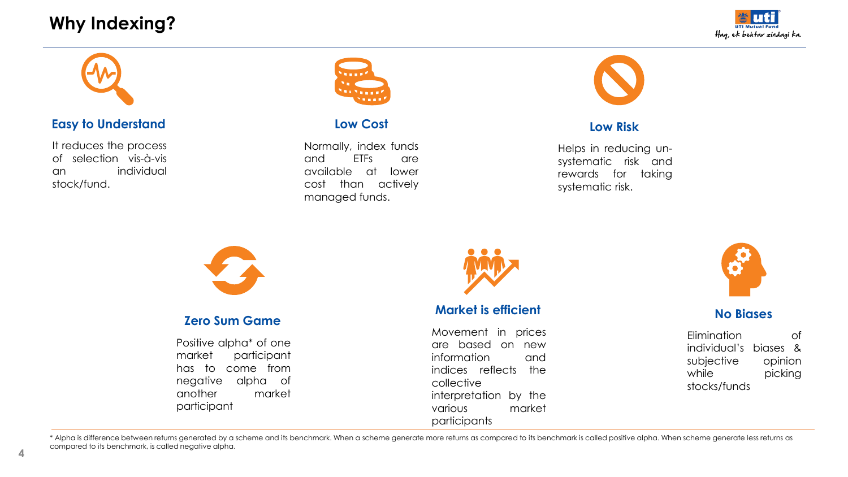# **Why Indexing?**





## **Easy to Understand**

It reduces the process of selection vis-à-vis an individual stock/fund.



## **Low Cost**

Normally, index funds and ETFs are available at lower cost than actively managed funds.



#### **Low Risk**

Helps in reducing unsystematic risk and rewards for taking systematic risk.



## **Zero Sum Game**

Positive alpha\* of one market participant has to come from negative alpha of another market participant



## **Market is efficient**

Movement in prices are based on new information and indices reflects the collective interpretation by the various market participants



## **No Biases**

Elimination of individual's biases & subjective opinion while picking stocks/funds

\* Alpha is difference between returns generated by a scheme and its benchmark. When a scheme generate more returns as compared to its benchmark is called positive alpha. When scheme generate less returns as compared to its benchmark, is called negative alpha.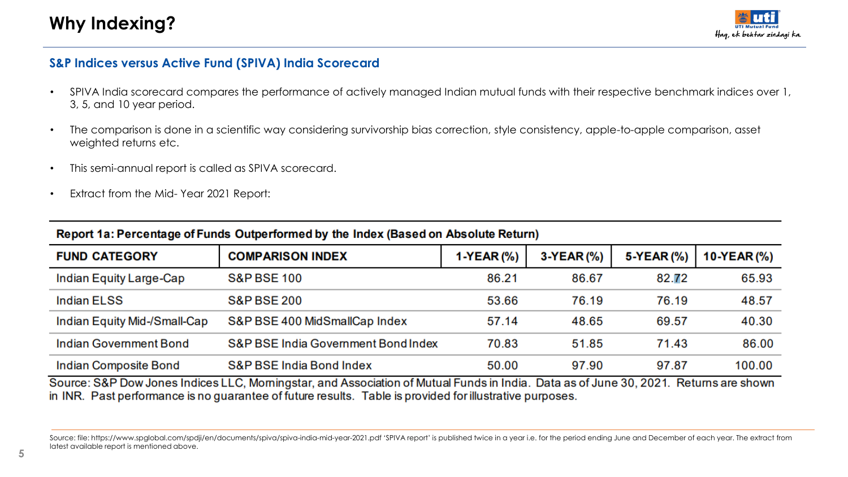

## **S&P Indices versus Active Fund (SPIVA) India Scorecard**

- SPIVA India scorecard compares the performance of actively managed Indian mutual funds with their respective benchmark indices over 1, 3, 5, and 10 year period.
- The comparison is done in a scientific way considering survivorship bias correction, style consistency, apple-to-apple comparison, asset weighted returns etc.
- This semi-annual report is called as SPIVA scorecard.
- Extract from the Mid- Year 2021 Report:

| <b>FUND CATEGORY</b>          | <b>COMPARISON INDEX</b>             | 1-YEAR (%) | $3-YEAR$ (%) | 5-YEAR (%) | 10-YEAR(%) |
|-------------------------------|-------------------------------------|------------|--------------|------------|------------|
| Indian Equity Large-Cap       | <b>S&amp;P BSE 100</b>              | 86.21      | 86.67        | 82.72      | 65.93      |
| <b>Indian ELSS</b>            | <b>S&amp;P BSE 200</b>              | 53.66      | 76.19        | 76.19      | 48.57      |
| Indian Equity Mid-/Small-Cap  | S&P BSE 400 MidSmallCap Index       | 57.14      | 48.65        | 69.57      | 40.30      |
| <b>Indian Government Bond</b> | S&P BSE India Government Bond Index | 70.83      | 51.85        | 71.43      | 86.00      |
| Indian Composite Bond         | <b>S&amp;P BSE India Bond Index</b> | 50.00      | 97.90        | 97.87      | 100.00     |

## Report 1a: Percentage of Funds Outperformed by the Index (Based on Absolute Return)

Source: S&P Dow Jones Indices LLC, Morningstar, and Association of Mutual Funds in India. Data as of June 30, 2021. Returns are shown in INR. Past performance is no guarantee of future results. Table is provided for illustrative purposes.

Source: file: https://www.spglobal.com/spdji/en/documents/spiva/spiva-india-mid-year-2021.pdf 'SPIVA report' is published twice in a year i.e. for the period ending June and December of each year. The extract from latest available report is mentioned above.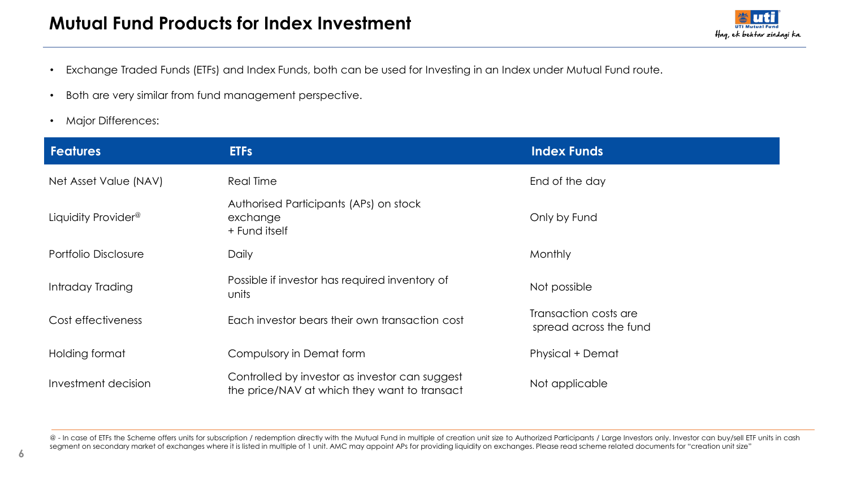

- Exchange Traded Funds (ETFs) and Index Funds, both can be used for Investing in an Index under Mutual Fund route.
- Both are very similar from fund management perspective.
- Major Differences:

| <b>Features</b>                 | <b>ETFs</b>                                                                                    | <b>Index Funds</b>                              |
|---------------------------------|------------------------------------------------------------------------------------------------|-------------------------------------------------|
| Net Asset Value (NAV)           | Real Time                                                                                      | End of the day                                  |
| Liquidity Provider <sup>®</sup> | Authorised Participants (APs) on stock<br>exchange<br>+ Fund itself                            | Only by Fund                                    |
| Portfolio Disclosure            | Daily                                                                                          | Monthly                                         |
| Intraday Trading                | Possible if investor has required inventory of<br>units                                        | Not possible                                    |
| Cost effectiveness              | Each investor bears their own transaction cost                                                 | Transaction costs are<br>spread across the fund |
| Holding format                  | Compulsory in Demat form                                                                       | <b>Physical + Demat</b>                         |
| Investment decision             | Controlled by investor as investor can suggest<br>the price/NAV at which they want to transact | Not applicable                                  |

@ - In case of ETFs the Scheme offers units for subscription / redemption directly with the Mutual Fund in multiple of creation unit size to Authorized Participants / Large Investors only. Investor can buy/sell ETF units i segment on secondary market of exchanges where it is listed in multiple of 1 unit. AMC may appoint APs for providing liquidity on exchanges. Please read scheme related documents for "creation unit size"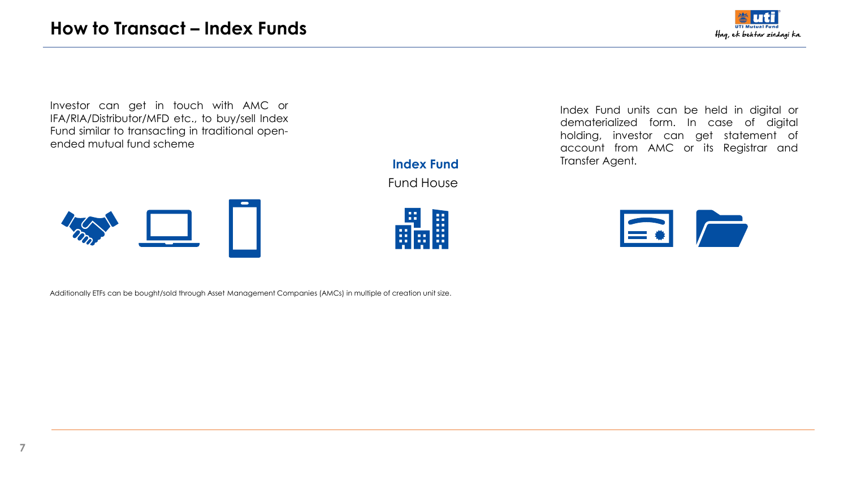

Investor can get in touch with AMC or IFA/RIA/Distributor/MFD etc., to buy/sell Index Fund similar to transacting in traditional openended mutual fund scheme

> Fund House **Index Fund**

> > 晶

Index Fund units can be held in digital or dematerialized form. In case of digital holding, investor can get statement of account from AMC or its Registrar and Transfer Agent.



Additionally ETFs can be bought/sold through Asset Management Companies (AMCs) in multiple of creation unit size.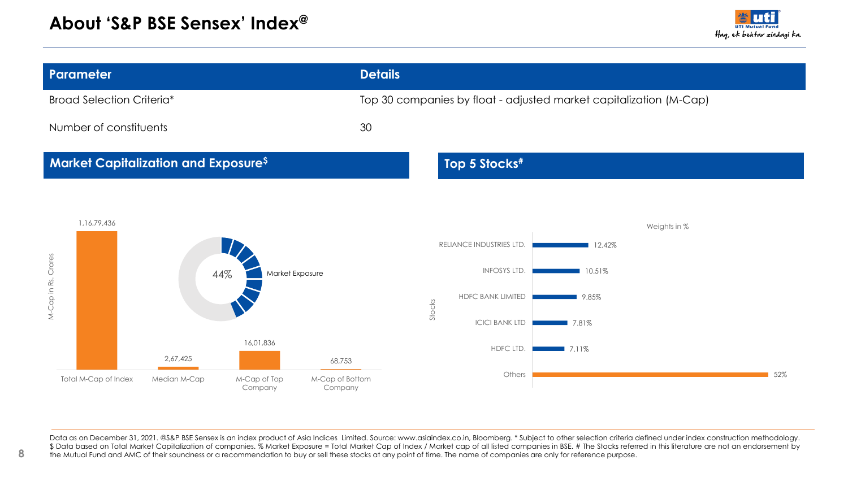

| Parameter                                                                                     | <b>Details</b>                                                         |
|-----------------------------------------------------------------------------------------------|------------------------------------------------------------------------|
| <b>Broad Selection Criteria*</b>                                                              | Top 30 companies by float - adjusted market capitalization (M-Cap)     |
| Number of constituents                                                                        | 30                                                                     |
| <b>Market Capitalization and Exposure<sup>\$</sup></b>                                        | Top 5 Stocks <sup>#</sup>                                              |
| 1,16,79,436                                                                                   | Weights in %                                                           |
| $\overline{\phantom{a}}$<br>Market Exposure<br>44%                                            | RELIANCE INDUSTRIES LTD.<br>12.42%<br>a sa B<br>INFOSYS LTD.<br>10.51% |
| M-Cap in Rs. Crores                                                                           | HDFC BANK LIMITED<br>9.85%<br>Stocks                                   |
|                                                                                               | <b>ICICI BANK LTD</b><br>17.81%                                        |
| 16,01,836<br>2,67,425<br>68,753                                                               | HDFC LTD.<br>$\blacksquare$ 7.11%                                      |
| M-Cap of Bottom<br>Total M-Cap of Index<br>Median M-Cap<br>M-Cap of Top<br>Company<br>Company | Others<br>52%                                                          |

Data as on December 31, 2021. @S&P BSE Sensex is an index product of Asia Indices Limited. Source: www.asiaindex.co.in, Bloomberg. \* Subject to other selection criteria defined under index construction methodology. \$ Data based on Total Market Capitalization of companies. % Market Exposure = Total Market Cap of Index / Market cap of all listed companies in BSE. # The Stocks referred in this literature are not an endorsement by the Mutual Fund and AMC of their soundness or a recommendation to buy or sell these stocks at any point of time. The name of companies are only for reference purpose.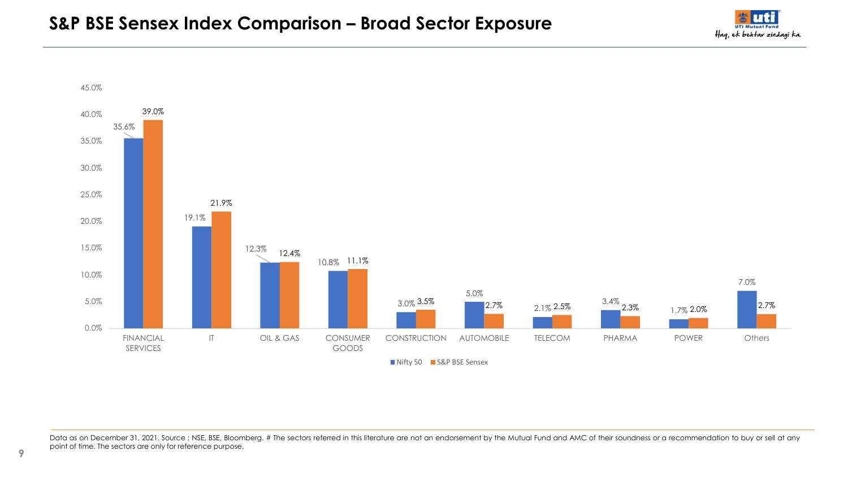



Data as on December 31, 2021. Source : NSE, BSE, Bloomberg. # The sectors referred in this literature are not an endorsement by the Mutual Fund and AMC of their soundness or a recommendation to buy or sell at any point of time. The sectors are only for reference purpose.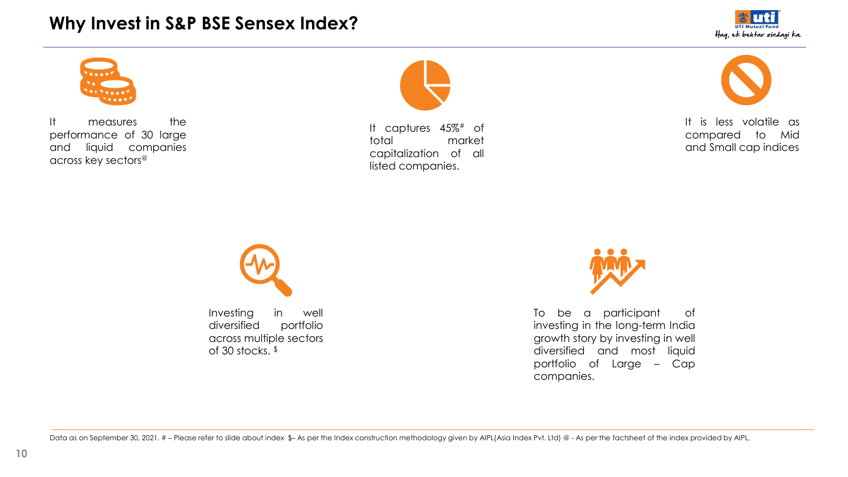## **Why Invest in S&P BSE Sensex Index?**





It measures the performance of 30 large and liquid companies across key sectors<sup>@</sup>



It captures 45%# of total market capitalization of all listed companies.



It is less volatile as compared to Mid and Small cap indices





To be a participant of investing in the long-term India growth story by investing in well diversified and most liquid portfolio of Large – Cap companies.

Data as on September 30, 2021. #-Please refer to slide about index \$-As per the Index construction methodology given by AIPL(Asia Index Pvt. Ltd) @ - As per the factsheet of the index provided by AIPL.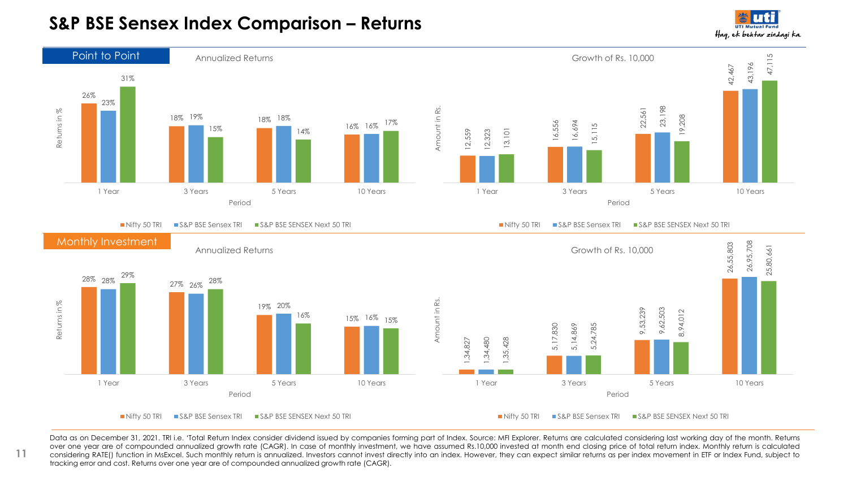## **S&P BSE Sensex Index Comparison – Returns**

Hag, ek behtar zindagi ka.



Data as on December 31, 2021. TRI i.e. 'Total Return Index consider dividend issued by companies forming part of Index. Source: MFI Explorer. Returns are calculated considering last working day of the month. Returns over one year are of compounded annualized growth rate (CAGR). In case of monthly investment, we have assumed Rs.10,000 invested at month end closing price of total return index. Monthly return is calculated considering RATE() function in MsExcel. Such monthly return is annualized. Investors cannot invest directly into an index. However, they can expect similar returns as per index movement in ETF or Index Fund, subject to tracking error and cost. Returns over one year are of compounded annualized growth rate (CAGR).

**11**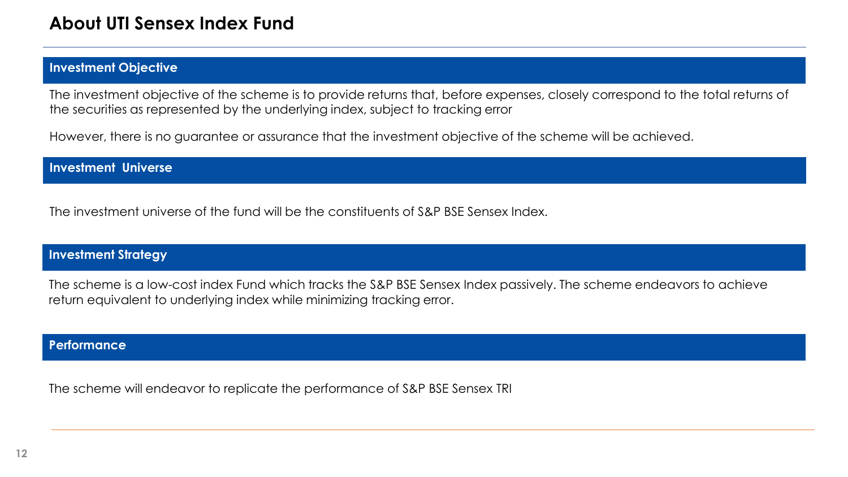## **Investment Objective**

The investment objective of the scheme is to provide returns that, before expenses, closely correspond to the total returns of the securities as represented by the underlying index, subject to tracking error

However, there is no guarantee or assurance that the investment objective of the scheme will be achieved.

## **Investment Universe**

The investment universe of the fund will be the constituents of S&P BSE Sensex Index.

## **Investment Strategy**

The scheme is a low-cost index Fund which tracks the S&P BSE Sensex Index passively. The scheme endeavors to achieve return equivalent to underlying index while minimizing tracking error.

## **Performance**

The scheme will endeavor to replicate the performance of S&P BSE Sensex TRI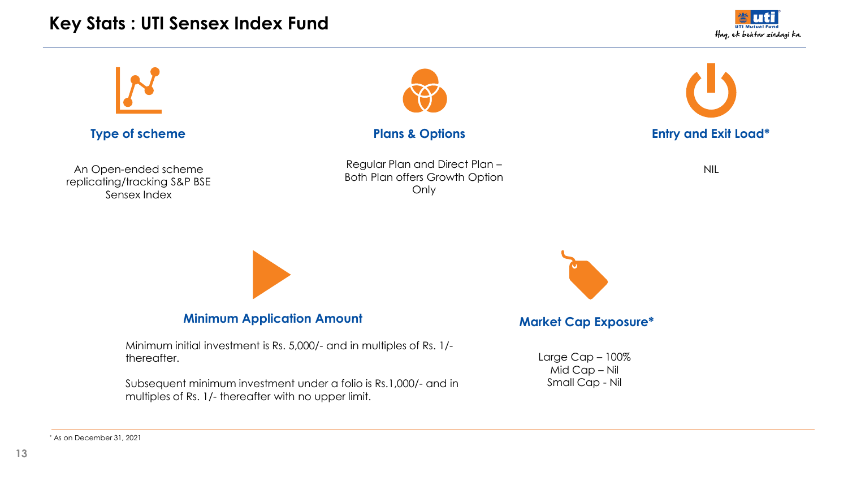# **Key Stats : UTI Sensex Index Fund**



## **Type of scheme**

An Open-ended scheme replicating/tracking S&P BSE Sensex Index



Regular Plan and Direct Plan – Both Plan offers Growth Option Only



NIL



## **Minimum Application Amount**

Minimum initial investment is Rs. 5,000/- and in multiples of Rs. 1/ thereafter.

Subsequent minimum investment under a folio is Rs.1,000/- and in multiples of Rs. 1/- thereafter with no upper limit.



## **Market Cap Exposure\***

Large Cap – 100% Mid Cap – Nil Small Cap - Nil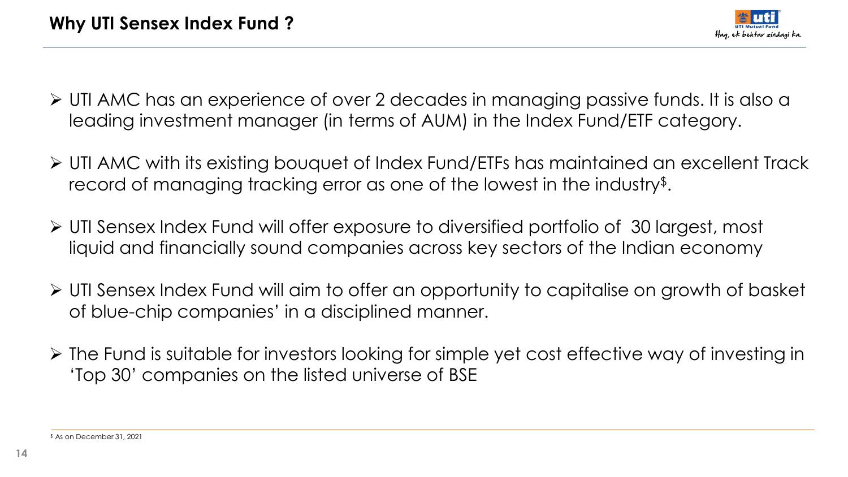

- ➢ UTI AMC has an experience of over 2 decades in managing passive funds. It is also a leading investment manager (in terms of AUM) in the Index Fund/ETF category.
- ➢ UTI AMC with its existing bouquet of Index Fund/ETFs has maintained an excellent Track record of managing tracking error as one of the lowest in the industry\$ .
- ➢ UTI Sensex Index Fund will offer exposure to diversified portfolio of 30 largest, most liquid and financially sound companies across key sectors of the Indian economy
- ➢ UTI Sensex Index Fund will aim to offer an opportunity to capitalise on growth of basket of blue-chip companies' in a disciplined manner.
- ➢ The Fund is suitable for investors looking for simple yet cost effective way of investing in 'Top 30' companies on the listed universe of BSE

\$ As on December 31, 2021